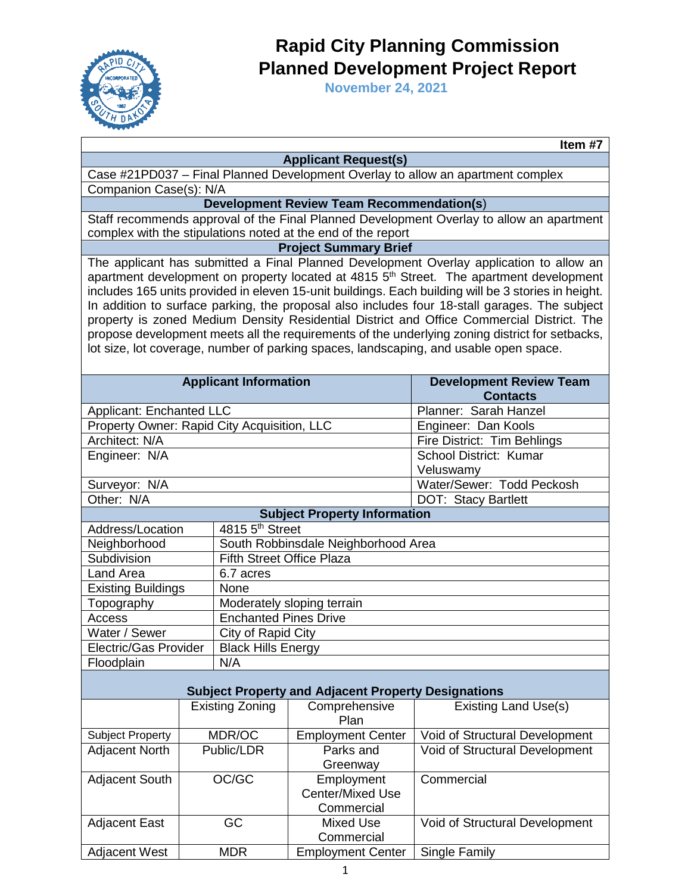

## **Rapid City Planning Commission Planned Development Project Report**

**November 24, 2021** 

| Item $\frac{1}{47}$                                                                                                                                                                                                                                                                                                                                                                                                                                                                                                                                                                                                                                                                            |                                                                                                                                      |                                  |                                                              |                                                                                          |  |  |
|------------------------------------------------------------------------------------------------------------------------------------------------------------------------------------------------------------------------------------------------------------------------------------------------------------------------------------------------------------------------------------------------------------------------------------------------------------------------------------------------------------------------------------------------------------------------------------------------------------------------------------------------------------------------------------------------|--------------------------------------------------------------------------------------------------------------------------------------|----------------------------------|--------------------------------------------------------------|------------------------------------------------------------------------------------------|--|--|
| <b>Applicant Request(s)</b>                                                                                                                                                                                                                                                                                                                                                                                                                                                                                                                                                                                                                                                                    |                                                                                                                                      |                                  |                                                              |                                                                                          |  |  |
| Case #21PD037 - Final Planned Development Overlay to allow an apartment complex                                                                                                                                                                                                                                                                                                                                                                                                                                                                                                                                                                                                                |                                                                                                                                      |                                  |                                                              |                                                                                          |  |  |
|                                                                                                                                                                                                                                                                                                                                                                                                                                                                                                                                                                                                                                                                                                | Companion Case(s): N/A                                                                                                               |                                  |                                                              |                                                                                          |  |  |
|                                                                                                                                                                                                                                                                                                                                                                                                                                                                                                                                                                                                                                                                                                |                                                                                                                                      |                                  | <b>Development Review Team Recommendation(s)</b>             |                                                                                          |  |  |
|                                                                                                                                                                                                                                                                                                                                                                                                                                                                                                                                                                                                                                                                                                |                                                                                                                                      |                                  |                                                              | Staff recommends approval of the Final Planned Development Overlay to allow an apartment |  |  |
|                                                                                                                                                                                                                                                                                                                                                                                                                                                                                                                                                                                                                                                                                                |                                                                                                                                      |                                  | complex with the stipulations noted at the end of the report |                                                                                          |  |  |
|                                                                                                                                                                                                                                                                                                                                                                                                                                                                                                                                                                                                                                                                                                |                                                                                                                                      |                                  | <b>Project Summary Brief</b>                                 |                                                                                          |  |  |
| The applicant has submitted a Final Planned Development Overlay application to allow an<br>apartment development on property located at 4815 5 <sup>th</sup> Street. The apartment development<br>includes 165 units provided in eleven 15-unit buildings. Each building will be 3 stories in height.<br>In addition to surface parking, the proposal also includes four 18-stall garages. The subject<br>property is zoned Medium Density Residential District and Office Commercial District. The<br>propose development meets all the requirements of the underlying zoning district for setbacks,<br>lot size, lot coverage, number of parking spaces, landscaping, and usable open space. |                                                                                                                                      |                                  |                                                              |                                                                                          |  |  |
|                                                                                                                                                                                                                                                                                                                                                                                                                                                                                                                                                                                                                                                                                                |                                                                                                                                      | <b>Applicant Information</b>     |                                                              | <b>Development Review Team</b><br><b>Contacts</b>                                        |  |  |
| Applicant: Enchanted LLC                                                                                                                                                                                                                                                                                                                                                                                                                                                                                                                                                                                                                                                                       |                                                                                                                                      |                                  |                                                              | Planner: Sarah Hanzel                                                                    |  |  |
| Property Owner: Rapid City Acquisition, LLC                                                                                                                                                                                                                                                                                                                                                                                                                                                                                                                                                                                                                                                    |                                                                                                                                      |                                  |                                                              | Engineer: Dan Kools                                                                      |  |  |
| Architect: N/A                                                                                                                                                                                                                                                                                                                                                                                                                                                                                                                                                                                                                                                                                 |                                                                                                                                      |                                  |                                                              | Fire District: Tim Behlings                                                              |  |  |
| Engineer: N/A                                                                                                                                                                                                                                                                                                                                                                                                                                                                                                                                                                                                                                                                                  |                                                                                                                                      |                                  |                                                              | School District: Kumar                                                                   |  |  |
|                                                                                                                                                                                                                                                                                                                                                                                                                                                                                                                                                                                                                                                                                                |                                                                                                                                      |                                  |                                                              | Veluswamy                                                                                |  |  |
| Surveyor: N/A                                                                                                                                                                                                                                                                                                                                                                                                                                                                                                                                                                                                                                                                                  |                                                                                                                                      |                                  | Water/Sewer: Todd Peckosh                                    |                                                                                          |  |  |
| Other: N/A                                                                                                                                                                                                                                                                                                                                                                                                                                                                                                                                                                                                                                                                                     |                                                                                                                                      |                                  |                                                              | DOT: Stacy Bartlett                                                                      |  |  |
|                                                                                                                                                                                                                                                                                                                                                                                                                                                                                                                                                                                                                                                                                                |                                                                                                                                      |                                  | <b>Subject Property Information</b>                          |                                                                                          |  |  |
| Address/Location                                                                                                                                                                                                                                                                                                                                                                                                                                                                                                                                                                                                                                                                               |                                                                                                                                      | 4815 5 <sup>th</sup> Street      |                                                              |                                                                                          |  |  |
| Neighborhood                                                                                                                                                                                                                                                                                                                                                                                                                                                                                                                                                                                                                                                                                   |                                                                                                                                      |                                  | South Robbinsdale Neighborhood Area                          |                                                                                          |  |  |
| Subdivision                                                                                                                                                                                                                                                                                                                                                                                                                                                                                                                                                                                                                                                                                    |                                                                                                                                      | <b>Fifth Street Office Plaza</b> |                                                              |                                                                                          |  |  |
| <b>Land Area</b>                                                                                                                                                                                                                                                                                                                                                                                                                                                                                                                                                                                                                                                                               |                                                                                                                                      | 6.7 acres                        |                                                              |                                                                                          |  |  |
| <b>Existing Buildings</b>                                                                                                                                                                                                                                                                                                                                                                                                                                                                                                                                                                                                                                                                      |                                                                                                                                      | None                             |                                                              |                                                                                          |  |  |
| Topography                                                                                                                                                                                                                                                                                                                                                                                                                                                                                                                                                                                                                                                                                     |                                                                                                                                      | Moderately sloping terrain       |                                                              |                                                                                          |  |  |
| Access                                                                                                                                                                                                                                                                                                                                                                                                                                                                                                                                                                                                                                                                                         |                                                                                                                                      | <b>Enchanted Pines Drive</b>     |                                                              |                                                                                          |  |  |
| Water / Sewer                                                                                                                                                                                                                                                                                                                                                                                                                                                                                                                                                                                                                                                                                  |                                                                                                                                      |                                  | City of Rapid City                                           |                                                                                          |  |  |
| Electric/Gas Provider                                                                                                                                                                                                                                                                                                                                                                                                                                                                                                                                                                                                                                                                          |                                                                                                                                      |                                  | <b>Black Hills Energy</b>                                    |                                                                                          |  |  |
| Floodplain                                                                                                                                                                                                                                                                                                                                                                                                                                                                                                                                                                                                                                                                                     |                                                                                                                                      | N/A                              |                                                              |                                                                                          |  |  |
|                                                                                                                                                                                                                                                                                                                                                                                                                                                                                                                                                                                                                                                                                                |                                                                                                                                      |                                  |                                                              |                                                                                          |  |  |
|                                                                                                                                                                                                                                                                                                                                                                                                                                                                                                                                                                                                                                                                                                | <b>Subject Property and Adjacent Property Designations</b><br><b>Existing Land Use(s)</b><br><b>Existing Zoning</b><br>Comprehensive |                                  |                                                              |                                                                                          |  |  |
|                                                                                                                                                                                                                                                                                                                                                                                                                                                                                                                                                                                                                                                                                                |                                                                                                                                      |                                  | Plan                                                         |                                                                                          |  |  |
| <b>Subject Property</b>                                                                                                                                                                                                                                                                                                                                                                                                                                                                                                                                                                                                                                                                        |                                                                                                                                      | MDR/OC                           | <b>Employment Center</b>                                     | Void of Structural Development                                                           |  |  |
| <b>Adjacent North</b>                                                                                                                                                                                                                                                                                                                                                                                                                                                                                                                                                                                                                                                                          | Public/LDR                                                                                                                           |                                  | Parks and                                                    | Void of Structural Development                                                           |  |  |
| Adjacent South                                                                                                                                                                                                                                                                                                                                                                                                                                                                                                                                                                                                                                                                                 | OC/GC                                                                                                                                |                                  | Greenway<br>Employment<br>Center/Mixed Use<br>Commercial     | Commercial                                                                               |  |  |
| <b>Adjacent East</b>                                                                                                                                                                                                                                                                                                                                                                                                                                                                                                                                                                                                                                                                           | GC                                                                                                                                   |                                  | <b>Mixed Use</b><br>Commercial                               | Void of Structural Development                                                           |  |  |
| <b>Adjacent West</b>                                                                                                                                                                                                                                                                                                                                                                                                                                                                                                                                                                                                                                                                           | <b>MDR</b>                                                                                                                           |                                  | <b>Employment Center</b>                                     | Single Family                                                                            |  |  |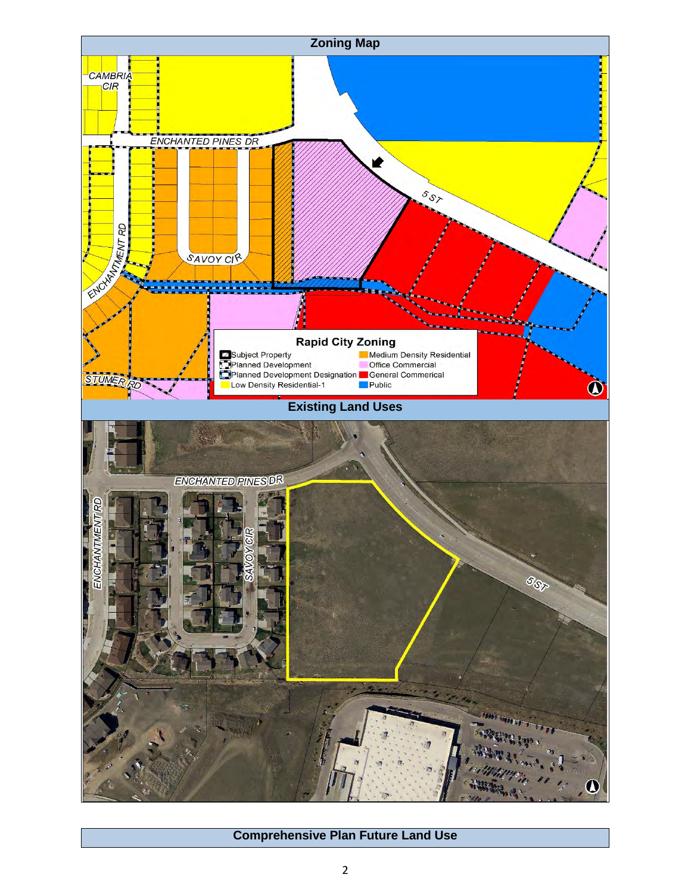

## **Comprehensive Plan Future Land Use**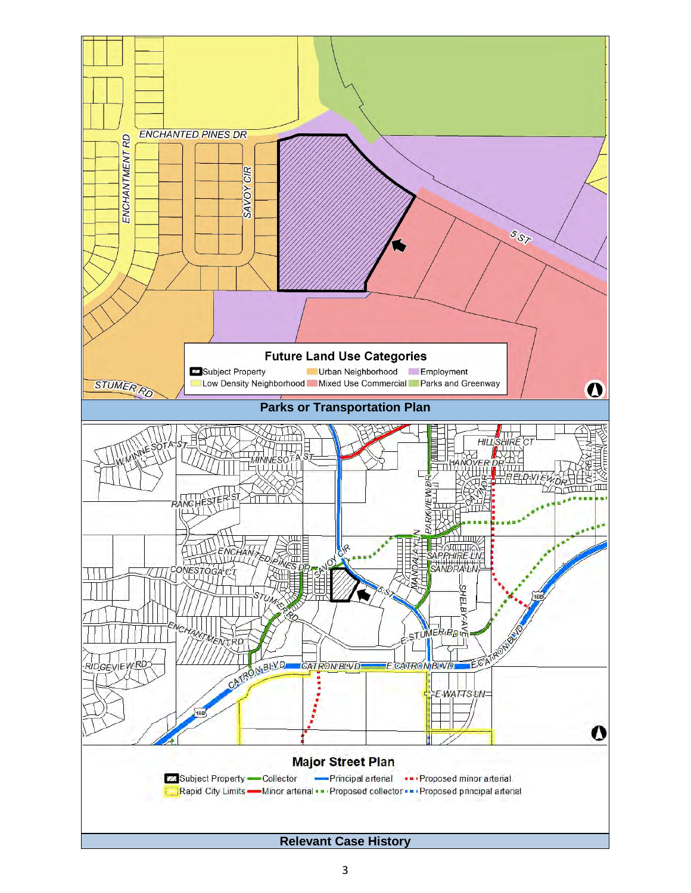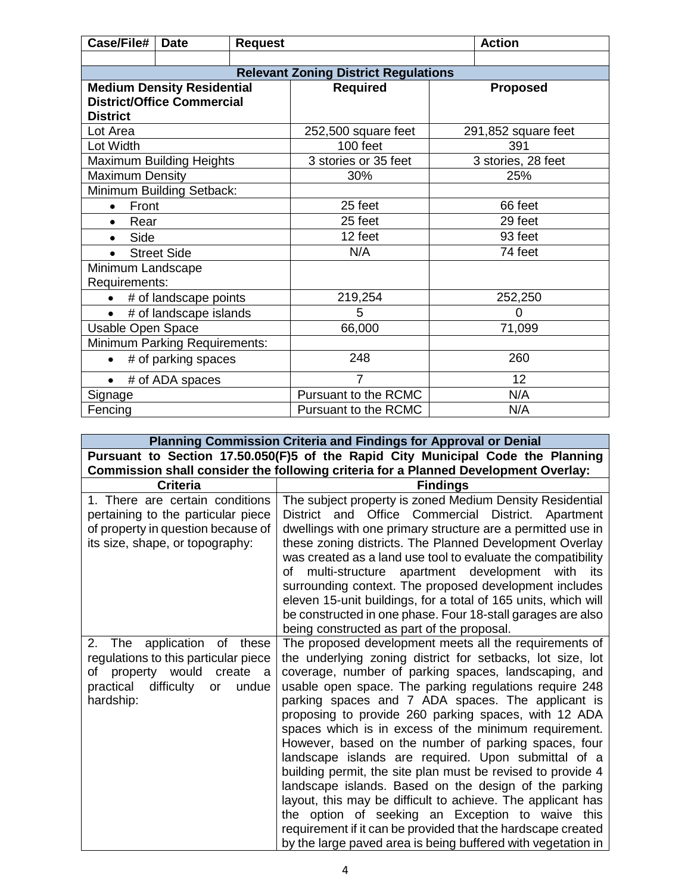| Case/File#                          | <b>Date</b>                       | <b>Request</b> |                                             |                     | <b>Action</b>      |
|-------------------------------------|-----------------------------------|----------------|---------------------------------------------|---------------------|--------------------|
|                                     |                                   |                |                                             |                     |                    |
|                                     |                                   |                | <b>Relevant Zoning District Regulations</b> |                     |                    |
|                                     | <b>Medium Density Residential</b> |                | <b>Required</b>                             |                     | <b>Proposed</b>    |
|                                     | <b>District/Office Commercial</b> |                |                                             |                     |                    |
| <b>District</b>                     |                                   |                |                                             |                     |                    |
| Lot Area                            |                                   |                | 252,500 square feet                         | 291,852 square feet |                    |
| Lot Width                           |                                   |                | 100 feet                                    |                     | 391                |
|                                     | <b>Maximum Building Heights</b>   |                | 3 stories or 35 feet                        |                     | 3 stories, 28 feet |
| <b>Maximum Density</b>              |                                   |                | 30%                                         |                     | 25%                |
|                                     | Minimum Building Setback:         |                |                                             |                     |                    |
| Front<br>$\bullet$                  |                                   |                | 25 feet                                     |                     | 66 feet            |
| Rear<br>$\bullet$                   |                                   |                | 25 feet                                     | 29 feet             |                    |
| Side<br>$\bullet$                   |                                   |                | 12 feet                                     | 93 feet             |                    |
| <b>Street Side</b><br>$\bullet$     |                                   |                | N/A                                         | 74 feet             |                    |
| Minimum Landscape                   |                                   |                |                                             |                     |                    |
| Requirements:                       |                                   |                |                                             |                     |                    |
| # of landscape points<br>$\bullet$  |                                   |                | 219,254                                     |                     | 252,250            |
| # of landscape islands<br>$\bullet$ |                                   |                | 5<br>$\Omega$                               |                     |                    |
| Usable Open Space                   |                                   |                | 66,000<br>71,099                            |                     |                    |
| Minimum Parking Requirements:       |                                   |                |                                             |                     |                    |
| # of parking spaces                 |                                   |                | 248                                         | 260                 |                    |
| # of ADA spaces                     |                                   |                | 7                                           | 12                  |                    |
| Signage                             |                                   |                | Pursuant to the RCMC                        |                     | N/A                |
| Fencing                             |                                   |                | Pursuant to the RCMC                        |                     | N/A                |

|                                                                                                                                                             | Planning Commission Criteria and Findings for Approval or Denial                                                                                                                                                                                                                                                                                                                                                                                                                                                                                                                                                                                                                                                                                                                                                                                                                                       |  |  |  |
|-------------------------------------------------------------------------------------------------------------------------------------------------------------|--------------------------------------------------------------------------------------------------------------------------------------------------------------------------------------------------------------------------------------------------------------------------------------------------------------------------------------------------------------------------------------------------------------------------------------------------------------------------------------------------------------------------------------------------------------------------------------------------------------------------------------------------------------------------------------------------------------------------------------------------------------------------------------------------------------------------------------------------------------------------------------------------------|--|--|--|
|                                                                                                                                                             | Pursuant to Section 17.50.050(F)5 of the Rapid City Municipal Code the Planning                                                                                                                                                                                                                                                                                                                                                                                                                                                                                                                                                                                                                                                                                                                                                                                                                        |  |  |  |
|                                                                                                                                                             | Commission shall consider the following criteria for a Planned Development Overlay:                                                                                                                                                                                                                                                                                                                                                                                                                                                                                                                                                                                                                                                                                                                                                                                                                    |  |  |  |
| <b>Criteria</b>                                                                                                                                             | <b>Findings</b>                                                                                                                                                                                                                                                                                                                                                                                                                                                                                                                                                                                                                                                                                                                                                                                                                                                                                        |  |  |  |
| 1. There are certain conditions<br>pertaining to the particular piece<br>of property in question because of<br>its size, shape, or topography:              | The subject property is zoned Medium Density Residential<br>District and Office Commercial District. Apartment<br>dwellings with one primary structure are a permitted use in<br>these zoning districts. The Planned Development Overlay<br>was created as a land use tool to evaluate the compatibility<br>of multi-structure apartment development with its<br>surrounding context. The proposed development includes<br>eleven 15-unit buildings, for a total of 165 units, which will<br>be constructed in one phase. Four 18-stall garages are also<br>being constructed as part of the proposal.                                                                                                                                                                                                                                                                                                 |  |  |  |
| 2.<br>The application of these<br>regulations to this particular piece<br>of property would create a<br>practical<br>difficulty<br>undue<br>or<br>hardship: | The proposed development meets all the requirements of<br>the underlying zoning district for setbacks, lot size, lot<br>coverage, number of parking spaces, landscaping, and<br>usable open space. The parking regulations require 248<br>parking spaces and 7 ADA spaces. The applicant is<br>proposing to provide 260 parking spaces, with 12 ADA<br>spaces which is in excess of the minimum requirement.<br>However, based on the number of parking spaces, four<br>landscape islands are required. Upon submittal of a<br>building permit, the site plan must be revised to provide 4<br>landscape islands. Based on the design of the parking<br>layout, this may be difficult to achieve. The applicant has<br>the option of seeking an Exception to waive this<br>requirement if it can be provided that the hardscape created<br>by the large paved area is being buffered with vegetation in |  |  |  |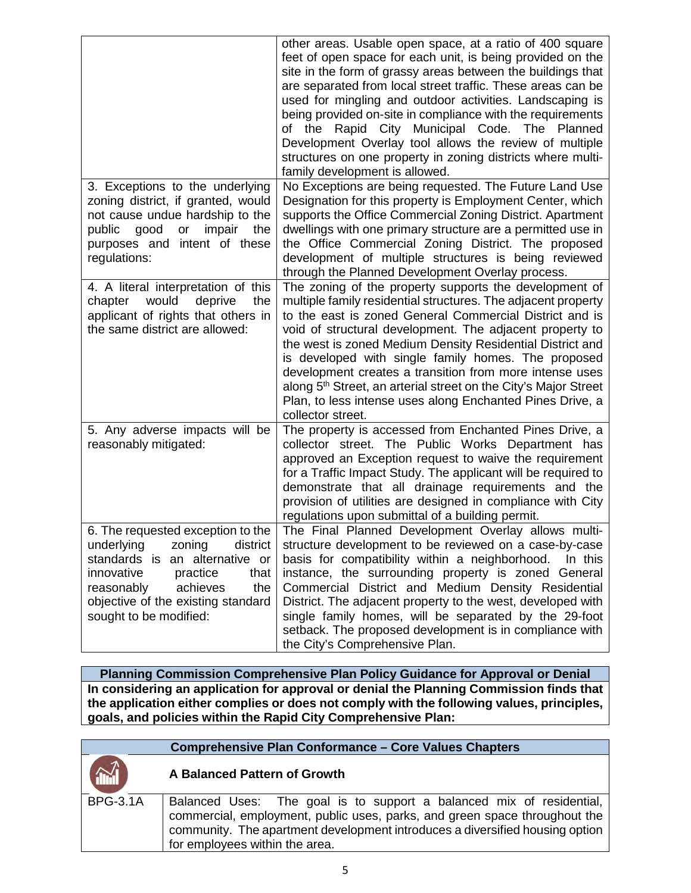|                                                                                                                                                                                                                                               | other areas. Usable open space, at a ratio of 400 square<br>feet of open space for each unit, is being provided on the<br>site in the form of grassy areas between the buildings that<br>are separated from local street traffic. These areas can be<br>used for mingling and outdoor activities. Landscaping is<br>being provided on-site in compliance with the requirements<br>of the<br>Rapid City Municipal Code.<br>The Planned<br>Development Overlay tool allows the review of multiple<br>structures on one property in zoning districts where multi-<br>family development is allowed. |
|-----------------------------------------------------------------------------------------------------------------------------------------------------------------------------------------------------------------------------------------------|--------------------------------------------------------------------------------------------------------------------------------------------------------------------------------------------------------------------------------------------------------------------------------------------------------------------------------------------------------------------------------------------------------------------------------------------------------------------------------------------------------------------------------------------------------------------------------------------------|
| 3. Exceptions to the underlying<br>zoning district, if granted, would<br>not cause undue hardship to the<br>public<br>good<br>impair<br>the<br>or<br>purposes and intent of these<br>regulations:                                             | No Exceptions are being requested. The Future Land Use<br>Designation for this property is Employment Center, which<br>supports the Office Commercial Zoning District. Apartment<br>dwellings with one primary structure are a permitted use in<br>the Office Commercial Zoning District. The proposed<br>development of multiple structures is being reviewed<br>through the Planned Development Overlay process.                                                                                                                                                                               |
| 4. A literal interpretation of this<br>would<br>deprive<br>the<br>chapter<br>applicant of rights that others in<br>the same district are allowed:                                                                                             | The zoning of the property supports the development of<br>multiple family residential structures. The adjacent property<br>to the east is zoned General Commercial District and is<br>void of structural development. The adjacent property to<br>the west is zoned Medium Density Residential District and<br>is developed with single family homes. The proposed<br>development creates a transition from more intense uses<br>along 5 <sup>th</sup> Street, an arterial street on the City's Major Street<br>Plan, to less intense uses along Enchanted Pines Drive, a<br>collector street.   |
| 5. Any adverse impacts will be<br>reasonably mitigated:                                                                                                                                                                                       | The property is accessed from Enchanted Pines Drive, a<br>collector street. The Public Works Department has<br>approved an Exception request to waive the requirement<br>for a Traffic Impact Study. The applicant will be required to<br>demonstrate that all drainage requirements and the<br>provision of utilities are designed in compliance with City<br>regulations upon submittal of a building permit.                                                                                                                                                                                  |
| 6. The requested exception to the<br>underlying<br>district<br>zoning<br>standards is<br>an alternative or<br>innovative<br>practice<br>that<br>achieves<br>reasonably<br>the<br>objective of the existing standard<br>sought to be modified: | The Final Planned Development Overlay allows multi-<br>structure development to be reviewed on a case-by-case<br>basis for compatibility within a neighborhood.<br>In this<br>instance, the surrounding property is zoned General<br>Commercial District and Medium Density Residential<br>District. The adjacent property to the west, developed with<br>single family homes, will be separated by the 29-foot<br>setback. The proposed development is in compliance with<br>the City's Comprehensive Plan.                                                                                     |

**Planning Commission Comprehensive Plan Policy Guidance for Approval or Denial In considering an application for approval or denial the Planning Commission finds that the application either complies or does not comply with the following values, principles, goals, and policies within the Rapid City Comprehensive Plan:**

|                 | <b>Comprehensive Plan Conformance - Core Values Chapters</b>                                                                                                                                                                                                         |
|-----------------|----------------------------------------------------------------------------------------------------------------------------------------------------------------------------------------------------------------------------------------------------------------------|
|                 | A Balanced Pattern of Growth                                                                                                                                                                                                                                         |
| <b>BPG-3.1A</b> | Balanced Uses: The goal is to support a balanced mix of residential,<br>commercial, employment, public uses, parks, and green space throughout the<br>community. The apartment development introduces a diversified housing option<br>for employees within the area. |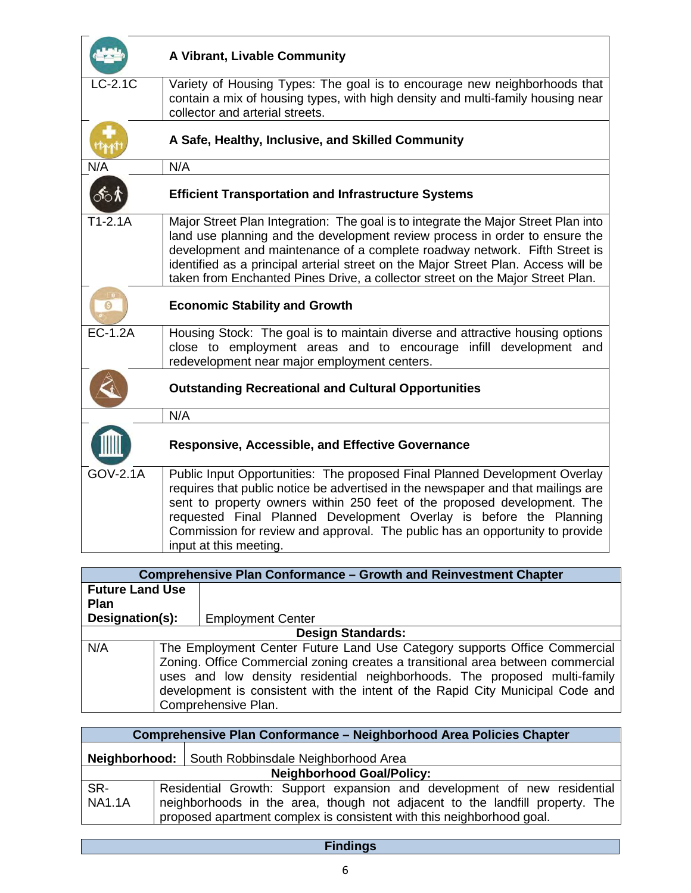|                 | A Vibrant, Livable Community                                                                                                                                                                                                                                                                                                                                                                                               |
|-----------------|----------------------------------------------------------------------------------------------------------------------------------------------------------------------------------------------------------------------------------------------------------------------------------------------------------------------------------------------------------------------------------------------------------------------------|
| $LC-2.1C$       | Variety of Housing Types: The goal is to encourage new neighborhoods that<br>contain a mix of housing types, with high density and multi-family housing near<br>collector and arterial streets.                                                                                                                                                                                                                            |
|                 | A Safe, Healthy, Inclusive, and Skilled Community                                                                                                                                                                                                                                                                                                                                                                          |
| N/A             | N/A                                                                                                                                                                                                                                                                                                                                                                                                                        |
| ்6்             | <b>Efficient Transportation and Infrastructure Systems</b>                                                                                                                                                                                                                                                                                                                                                                 |
| $T1-2.1A$       | Major Street Plan Integration: The goal is to integrate the Major Street Plan into<br>land use planning and the development review process in order to ensure the<br>development and maintenance of a complete roadway network. Fifth Street is<br>identified as a principal arterial street on the Major Street Plan. Access will be<br>taken from Enchanted Pines Drive, a collector street on the Major Street Plan.    |
|                 | <b>Economic Stability and Growth</b>                                                                                                                                                                                                                                                                                                                                                                                       |
| <b>EC-1.2A</b>  | Housing Stock: The goal is to maintain diverse and attractive housing options<br>close to employment areas and to encourage infill development and<br>redevelopment near major employment centers.                                                                                                                                                                                                                         |
|                 | <b>Outstanding Recreational and Cultural Opportunities</b>                                                                                                                                                                                                                                                                                                                                                                 |
|                 | N/A                                                                                                                                                                                                                                                                                                                                                                                                                        |
|                 | <b>Responsive, Accessible, and Effective Governance</b>                                                                                                                                                                                                                                                                                                                                                                    |
| <b>GOV-2.1A</b> | Public Input Opportunities: The proposed Final Planned Development Overlay<br>requires that public notice be advertised in the newspaper and that mailings are<br>sent to property owners within 250 feet of the proposed development. The<br>requested Final Planned Development Overlay is before the Planning<br>Commission for review and approval. The public has an opportunity to provide<br>input at this meeting. |

| <b>Comprehensive Plan Conformance - Growth and Reinvestment Chapter</b> |  |                                                                                                                                                                                                                                                                                                                                                    |  |
|-------------------------------------------------------------------------|--|----------------------------------------------------------------------------------------------------------------------------------------------------------------------------------------------------------------------------------------------------------------------------------------------------------------------------------------------------|--|
| <b>Future Land Use</b>                                                  |  |                                                                                                                                                                                                                                                                                                                                                    |  |
| <b>Plan</b>                                                             |  |                                                                                                                                                                                                                                                                                                                                                    |  |
| Designation(s):                                                         |  | <b>Employment Center</b>                                                                                                                                                                                                                                                                                                                           |  |
| <b>Design Standards:</b>                                                |  |                                                                                                                                                                                                                                                                                                                                                    |  |
| N/A                                                                     |  | The Employment Center Future Land Use Category supports Office Commercial<br>Zoning. Office Commercial zoning creates a transitional area between commercial<br>uses and low density residential neighborhoods. The proposed multi-family<br>development is consistent with the intent of the Rapid City Municipal Code and<br>Comprehensive Plan. |  |

| Comprehensive Plan Conformance - Neighborhood Area Policies Chapter |  |                                                                                                                                                                                                                                   |  |
|---------------------------------------------------------------------|--|-----------------------------------------------------------------------------------------------------------------------------------------------------------------------------------------------------------------------------------|--|
| Neighborhood:   South Robbinsdale Neighborhood Area                 |  |                                                                                                                                                                                                                                   |  |
| <b>Neighborhood Goal/Policy:</b>                                    |  |                                                                                                                                                                                                                                   |  |
| SR-<br><b>NA1.1A</b>                                                |  | Residential Growth: Support expansion and development of new residential<br>neighborhoods in the area, though not adjacent to the landfill property. The<br>proposed apartment complex is consistent with this neighborhood goal. |  |

## **Findings**